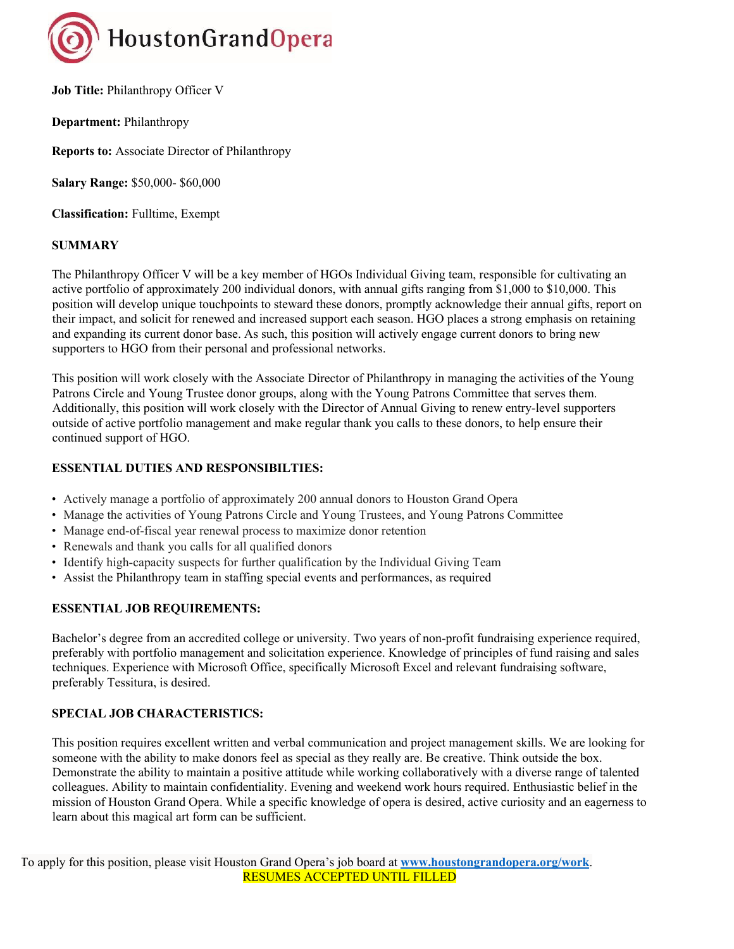

**Job Title: Philanthropy Officer V** 

**Department:** Philanthropy

**Reports to:** Associate Director of Philanthropy

**Salary Range:** \$50,000- \$60,000

**Classification:** Fulltime, Exempt

## **SUMMARY**

The Philanthropy Officer V will be a key member of HGOs Individual Giving team, responsible for cultivating an active portfolio of approximately 200 individual donors, with annual gifts ranging from \$1,000 to \$10,000. This position will develop unique touchpoints to steward these donors, promptly acknowledge their annual gifts, report on their impact, and solicit for renewed and increased support each season. HGO places a strong emphasis on retaining and expanding its current donor base. As such, this position will actively engage current donors to bring new supporters to HGO from their personal and professional networks.

This position will work closely with the Associate Director of Philanthropy in managing the activities of the Young Patrons Circle and Young Trustee donor groups, along with the Young Patrons Committee that serves them. Additionally, this position will work closely with the Director of Annual Giving to renew entry-level supporters outside of active portfolio management and make regular thank you calls to these donors, to help ensure their continued support of HGO.

## **ESSENTIAL DUTIES AND RESPONSIBILTIES:**

- Actively manage a portfolio of approximately 200 annual donors to Houston Grand Opera
- Manage the activities of Young Patrons Circle and Young Trustees, and Young Patrons Committee
- Manage end-of-fiscal year renewal process to maximize donor retention
- Renewals and thank you calls for all qualified donors
- Identify high-capacity suspects for further qualification by the Individual Giving Team
- Assist the Philanthropy team in staffing special events and performances, as required

## **ESSENTIAL JOB REQUIREMENTS:**

Bachelor's degree from an accredited college or university. Two years of non-profit fundraising experience required, preferably with portfolio management and solicitation experience. Knowledge of principles of fund raising and sales techniques. Experience with Microsoft Office, specifically Microsoft Excel and relevant fundraising software, preferably Tessitura, is desired.

## **SPECIAL JOB CHARACTERISTICS:**

This position requires excellent written and verbal communication and project management skills. We are looking for someone with the ability to make donors feel as special as they really are. Be creative. Think outside the box. Demonstrate the ability to maintain a positive attitude while working collaboratively with a diverse range of talented colleagues. Ability to maintain confidentiality. Evening and weekend work hours required. Enthusiastic belief in the mission of Houston Grand Opera. While a specific knowledge of opera is desired, active curiosity and an eagerness to learn about this magical art form can be sufficient.

To apply for this position, please visit Houston Grand Opera's job board at **www.houstongrandopera.org/work**. RESUMES ACCEPTED UNTIL FILLED